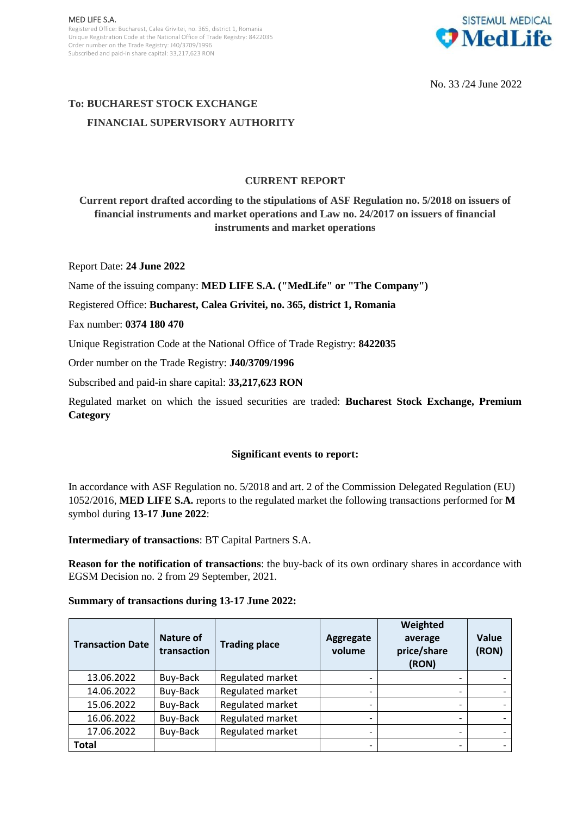

No. 33 /24 June 2022

# **To: BUCHAREST STOCK EXCHANGE FINANCIAL SUPERVISORY AUTHORITY**

## **CURRENT REPORT**

**Current report drafted according to the stipulations of ASF Regulation no. 5/2018 on issuers of financial instruments and market operations and Law no. 24/2017 on issuers of financial instruments and market operations**

Report Date: **24 June 2022**

Name of the issuing company: **MED LIFE S.A. ("MedLife" or "The Company")**

Registered Office: **Bucharest, Calea Grivitei, no. 365, district 1, Romania**

Fax number: **0374 180 470**

Unique Registration Code at the National Office of Trade Registry: **8422035**

Order number on the Trade Registry: **J40/3709/1996**

Subscribed and paid-in share capital: **33,217,623 RON**

Regulated market on which the issued securities are traded: **Bucharest Stock Exchange, Premium Category**

### **Significant events to report:**

In accordance with ASF Regulation no. 5/2018 and art. 2 of the Commission Delegated Regulation (EU) 1052/2016, **MED LIFE S.A.** reports to the regulated market the following transactions performed for **M** symbol during **13-17 June 2022**:

**Intermediary of transactions**: BT Capital Partners S.A.

**Reason for the notification of transactions**: the buy-back of its own ordinary shares in accordance with EGSM Decision no. 2 from 29 September, 2021.

#### **Summary of transactions during 13-17 June 2022:**

| <b>Transaction Date</b> | Nature of<br>transaction | <b>Trading place</b> | Aggregate<br>volume | Weighted<br>average<br>price/share<br>(RON) | Value<br>(RON) |
|-------------------------|--------------------------|----------------------|---------------------|---------------------------------------------|----------------|
| 13.06.2022              | Buy-Back                 | Regulated market     |                     |                                             |                |
| 14.06.2022              | Buy-Back                 | Regulated market     |                     |                                             |                |
| 15.06.2022              | Buy-Back                 | Regulated market     |                     |                                             |                |
| 16.06.2022              | Buy-Back                 | Regulated market     |                     |                                             |                |
| 17.06.2022              | Buy-Back                 | Regulated market     |                     |                                             |                |
| <b>Total</b>            |                          |                      |                     |                                             |                |